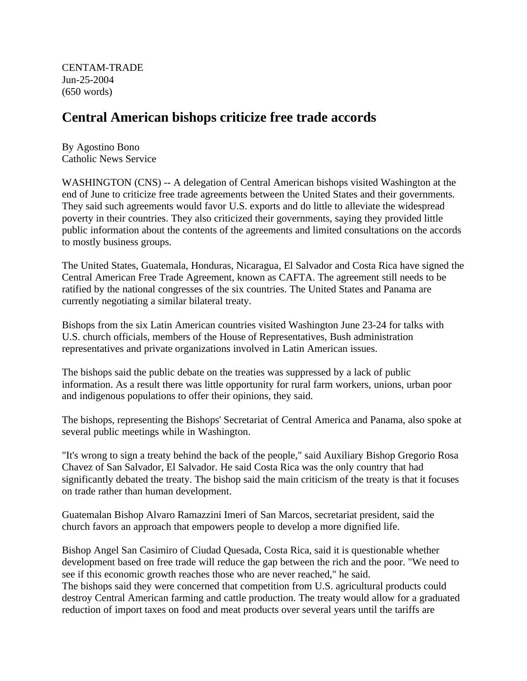CENTAM-TRADE Jun-25-2004 (650 words)

## **Central American bishops criticize free trade accords**

By Agostino Bono Catholic News Service

WASHINGTON (CNS) -- A delegation of Central American bishops visited Washington at the end of June to criticize free trade agreements between the United States and their governments. They said such agreements would favor U.S. exports and do little to alleviate the widespread poverty in their countries. They also criticized their governments, saying they provided little public information about the contents of the agreements and limited consultations on the accords to mostly business groups.

The United States, Guatemala, Honduras, Nicaragua, El Salvador and Costa Rica have signed the Central American Free Trade Agreement, known as CAFTA. The agreement still needs to be ratified by the national congresses of the six countries. The United States and Panama are currently negotiating a similar bilateral treaty.

Bishops from the six Latin American countries visited Washington June 23-24 for talks with U.S. church officials, members of the House of Representatives, Bush administration representatives and private organizations involved in Latin American issues.

The bishops said the public debate on the treaties was suppressed by a lack of public information. As a result there was little opportunity for rural farm workers, unions, urban poor and indigenous populations to offer their opinions, they said.

The bishops, representing the Bishops' Secretariat of Central America and Panama, also spoke at several public meetings while in Washington.

"It's wrong to sign a treaty behind the back of the people," said Auxiliary Bishop Gregorio Rosa Chavez of San Salvador, El Salvador. He said Costa Rica was the only country that had significantly debated the treaty. The bishop said the main criticism of the treaty is that it focuses on trade rather than human development.

Guatemalan Bishop Alvaro Ramazzini Imeri of San Marcos, secretariat president, said the church favors an approach that empowers people to develop a more dignified life.

Bishop Angel San Casimiro of Ciudad Quesada, Costa Rica, said it is questionable whether development based on free trade will reduce the gap between the rich and the poor. "We need to see if this economic growth reaches those who are never reached," he said. The bishops said they were concerned that competition from U.S. agricultural products could destroy Central American farming and cattle production. The treaty would allow for a graduated reduction of import taxes on food and meat products over several years until the tariffs are